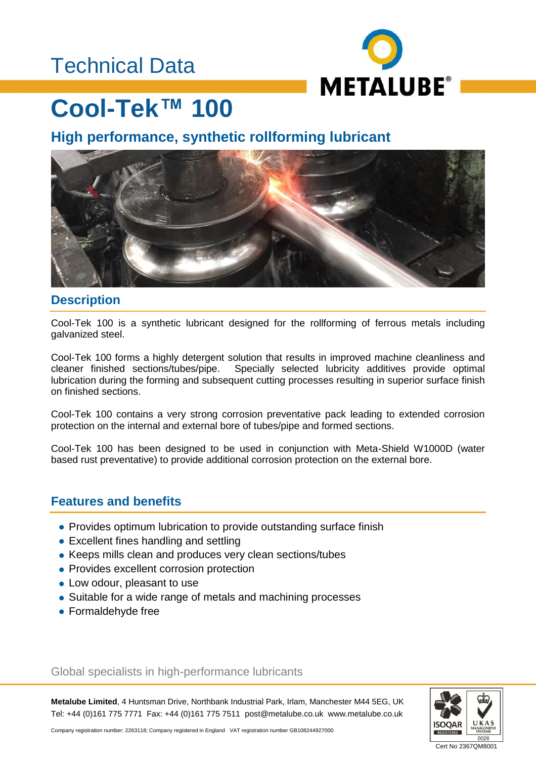### Technical Data



## **Cool-Tek™ 100**

### **High performance, synthetic rollforming lubricant**



#### **Description**

Cool-Tek 100 is a synthetic lubricant designed for the rollforming of ferrous metals including galvanized steel.

Cool-Tek 100 forms a highly detergent solution that results in improved machine cleanliness and cleaner finished sections/tubes/pipe. Specially selected lubricity additives provide optimal lubrication during the forming and subsequent cutting processes resulting in superior surface finish on finished sections.

Cool-Tek 100 contains a very strong corrosion preventative pack leading to extended corrosion protection on the internal and external bore of tubes/pipe and formed sections.

Cool-Tek 100 has been designed to be used in conjunction with Meta-Shield W1000D (water based rust preventative) to provide additional corrosion protection on the external bore.

#### **Features and benefits**

- Provides optimum lubrication to provide outstanding surface finish
- Excellent fines handling and settling
- Keeps mills clean and produces very clean sections/tubes
- Provides excellent corrosion protection
- Low odour, pleasant to use
- Suitable for a wide range of metals and machining processes
- Formaldehyde free

Global specialists in high-performance lubricants

**Metalube Limited**, 4 Huntsman Drive, Northbank Industrial Park, Irlam, Manchester M44 5EG, UK Tel: +44 (0)161 775 7771 Fax: +44 (0)161 775 7511 post@metalube.co.uk www.metalube.co.uk



Company registration number: 2263118; Company registered in England VAT registration number GB108244927000

Cert No 2367QM8001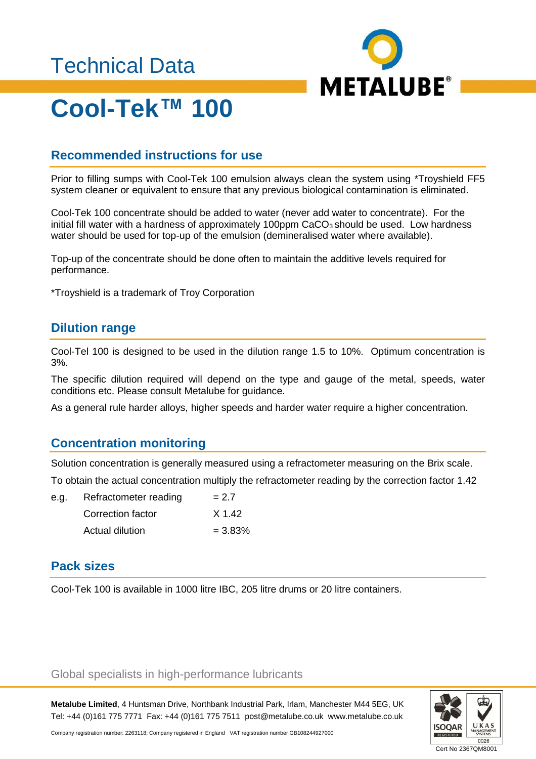### Technical Data



# **Cool-Tek™ 100**

#### **Recommended instructions for use**

Prior to filling sumps with Cool-Tek 100 emulsion always clean the system using \*Troyshield FF5 system cleaner or equivalent to ensure that any previous biological contamination is eliminated.

Cool-Tek 100 concentrate should be added to water (never add water to concentrate). For the initial fill water with a hardness of approximately 100ppm  $CaCO<sub>3</sub>$  should be used. Low hardness water should be used for top-up of the emulsion (demineralised water where available).

Top-up of the concentrate should be done often to maintain the additive levels required for performance.

\*Troyshield is a trademark of Troy Corporation

#### **Dilution range**

Cool-Tel 100 is designed to be used in the dilution range 1.5 to 10%. Optimum concentration is 3%.

The specific dilution required will depend on the type and gauge of the metal, speeds, water conditions etc. Please consult Metalube for guidance.

As a general rule harder alloys, higher speeds and harder water require a higher concentration.

#### **Concentration monitoring**

Solution concentration is generally measured using a refractometer measuring on the Brix scale.

To obtain the actual concentration multiply the refractometer reading by the correction factor 1.42

| e.g. | Refractometer reading | $= 2.7$    |
|------|-----------------------|------------|
|      | Correction factor     | X 1.42     |
|      | Actual dilution       | $= 3.83\%$ |

#### **Pack sizes**

Cool-Tek 100 is available in 1000 litre IBC, 205 litre drums or 20 litre containers.

#### Global specialists in high-performance lubricants

**Metalube Limited**, 4 Huntsman Drive, Northbank Industrial Park, Irlam, Manchester M44 5EG, UK Tel: +44 (0)161 775 7771 Fax: +44 (0)161 775 7511 post@metalube.co.uk www.metalube.co.uk



Company registration number: 2263118; Company registered in England VAT registration number GB108244927000

Cert No 2367QM8001